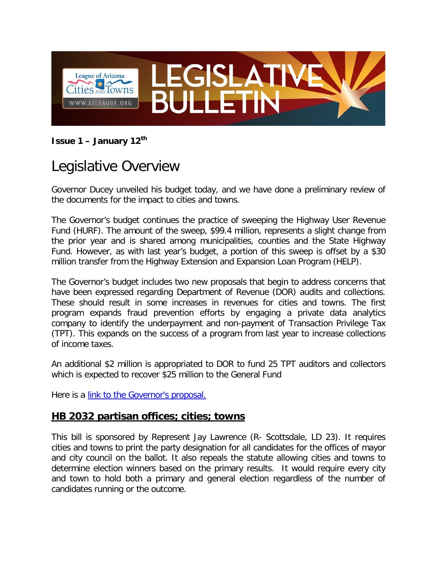

**Issue 1 – January 12th**

# Legislative Overview

Governor Ducey unveiled his budget today, and we have done a preliminary review of the documents for the impact to cities and towns.

The Governor's budget continues the practice of sweeping the Highway User Revenue Fund (HURF). The amount of the sweep, \$99.4 million, represents a slight change from the prior year and is shared among municipalities, counties and the State Highway Fund. However, as with last year's budget, a portion of this sweep is offset by a \$30 million transfer from the Highway Extension and Expansion Loan Program (HELP).

The Governor's budget includes two new proposals that begin to address concerns that have been expressed regarding Department of Revenue (DOR) audits and collections. These should result in some increases in revenues for cities and towns. The first program expands fraud prevention efforts by engaging a private data analytics company to identify the underpayment and non-payment of Transaction Privilege Tax (TPT). This expands on the success of a program from last year to increase collections of income taxes.

An additional \$2 million is appropriated to DOR to fund 25 TPT auditors and collectors which is expected to recover \$25 million to the General Fund

Here is a [link to the Governor's proposal.](https://azgovernor.gov/budget)

### **HB 2032 partisan offices; cities; towns**

This bill is sponsored by Represent Jay Lawrence (R- Scottsdale, LD 23). It requires cities and towns to print the party designation for all candidates for the offices of mayor and city council on the ballot. It also repeals the statute allowing cities and towns to determine election winners based on the primary results. It would require every city and town to hold both a primary and general election regardless of the number of candidates running or the outcome.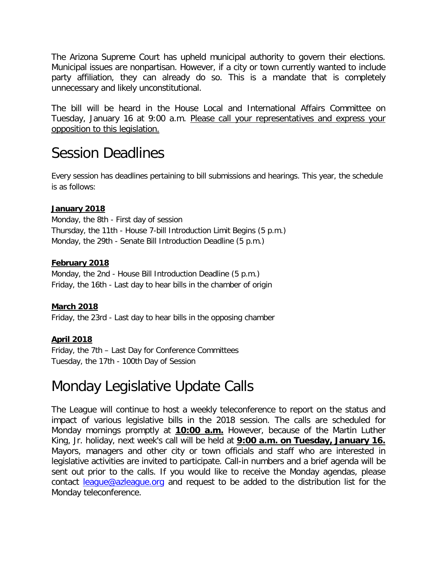The Arizona Supreme Court has upheld municipal authority to govern their elections. Municipal issues are nonpartisan. However, if a city or town currently wanted to include party affiliation, they can already do so. This is a mandate that is completely unnecessary and likely unconstitutional.

The bill will be heard in the House Local and International Affairs Committee on Tuesday, January 16 at 9:00 a.m. Please call your representatives and express your opposition to this legislation.

### Session Deadlines

Every session has deadlines pertaining to bill submissions and hearings. This year, the schedule is as follows:

#### **January 2018**

Monday, the 8th - First day of session Thursday, the 11th - House 7-bill Introduction Limit Begins (5 p.m.) Monday, the 29th - Senate Bill Introduction Deadline (5 p.m.)

#### **February 2018**

Monday, the 2nd - House Bill Introduction Deadline (5 p.m.) Friday, the 16th - Last day to hear bills in the chamber of origin

#### **March 2018**

Friday, the 23rd - Last day to hear bills in the opposing chamber

#### **April 2018**

Friday, the 7th – Last Day for Conference Committees Tuesday, the 17th - 100th Day of Session

### Monday Legislative Update Calls

The League will continue to host a weekly teleconference to report on the status and impact of various legislative bills in the 2018 session. The calls are scheduled for Monday mornings promptly at **10:00 a.m.** However, because of the Martin Luther King, Jr. holiday, next week's call will be held at **9:00 a.m. on Tuesday, January 16.** Mayors, managers and other city or town officials and staff who are interested in legislative activities are invited to participate. Call-in numbers and a brief agenda will be sent out prior to the calls. If you would like to receive the Monday agendas, please contact [league@azleague.org](mailto:league@azleague.org) and request to be added to the distribution list for the Monday teleconference.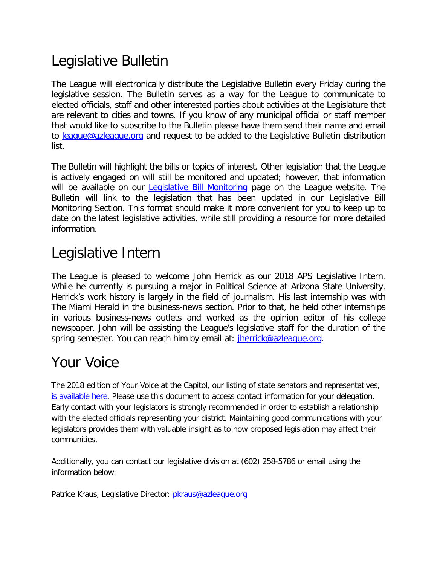# Legislative Bulletin

The League will electronically distribute the Legislative Bulletin every Friday during the legislative session. The Bulletin serves as a way for the League to communicate to elected officials, staff and other interested parties about activities at the Legislature that are relevant to cities and towns. If you know of any municipal official or staff member that would like to subscribe to the Bulletin please have them send their name and email to [league@azleague.org](mailto:league@azleague.org) and request to be added to the Legislative Bulletin distribution list.

The Bulletin will highlight the bills or topics of interest. Other legislation that the League is actively engaged on will still be monitored and updated; however, that information will be available on our **Legislative Bill Monitoring** page on the League website. The Bulletin will link to the legislation that has been updated in our Legislative Bill Monitoring Section. This format should make it more convenient for you to keep up to date on the latest legislative activities, while still providing a resource for more detailed information.

### Legislative Intern

The League is pleased to welcome John Herrick as our 2018 APS Legislative Intern. While he currently is pursuing a major in Political Science at Arizona State University, Herrick's work history is largely in the field of journalism. His last internship was with The Miami Herald in the business-news section. Prior to that, he held other internships in various business-news outlets and worked as the opinion editor of his college newspaper. John will be assisting the League's legislative staff for the duration of the spring semester. You can reach him by email at: *jherrick@azleague.org.* 

## Your Voice

The 2018 edition of Your Voice at the Capitol, our listing of state senators and representatives, [is available here.](http://www.azleague.org/DocumentCenter/Home/View/28) Please use this document to access contact information for your delegation. Early contact with your legislators is strongly recommended in order to establish a relationship with the elected officials representing your district. Maintaining good communications with your legislators provides them with valuable insight as to how proposed legislation may affect their communities.

Additionally, you can contact our legislative division at (602) 258-5786 or email using the information below:

Patrice Kraus, Legislative Director: *pkraus@azleague.org*